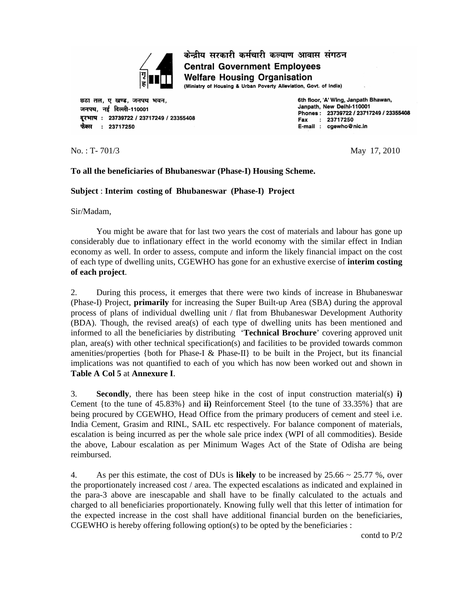

केन्द्रीय सरकारी कर्मचारी कल्याण आवास संगठन **Central Government Employees Welfare Housing Organisation** 

(Ministry of Housing & Urban Poverty Alleviation, Govt. of India)

छठा तल, ए खण्ड, जनपथ भवन, जनपथ, नई दिल्ली-110001 दरभाष: 23739722 / 23717249 / 23355408 फैक्स : 23717250

6th floor, 'A' Wing, Janpath Bhawan, Janpath. New Delhi-110001 Phones: 23739722 / 23717249 / 23355408 : 23717250 Fax E-mail : cgewho@nic.in

No. : T- 701/3 May 17, 2010

### **To all the beneficiaries of Bhubaneswar (Phase-I) Housing Scheme.**

### **Subject** : **Interim costing of Bhubaneswar (Phase-I) Project**

Sir/Madam,

You might be aware that for last two years the cost of materials and labour has gone up considerably due to inflationary effect in the world economy with the similar effect in Indian economy as well. In order to assess, compute and inform the likely financial impact on the cost of each type of dwelling units, CGEWHO has gone for an exhustive exercise of **interim costing of each project**.

2. During this process, it emerges that there were two kinds of increase in Bhubaneswar (Phase-I) Project, **primarily** for increasing the Super Built-up Area (SBA) during the approval process of plans of individual dwelling unit / flat from Bhubaneswar Development Authority (BDA). Though, the revised area(s) of each type of dwelling units has been mentioned and informed to all the beneficiaries by distributing '**Technical Brochure**' covering approved unit plan, area(s) with other technical specification(s) and facilities to be provided towards common amenities/properties {both for Phase-I & Phase-II} to be built in the Project, but its financial implications was not quantified to each of you which has now been worked out and shown in **Table A Col 5** at **Annexure I**.

3. **Secondly**, there has been steep hike in the cost of input construction material(s) **i)** Cement {to the tune of 45.83%} and **ii)** Reinforcement Steel {to the tune of 33.35%} that are being procured by CGEWHO, Head Office from the primary producers of cement and steel i.e. India Cement, Grasim and RINL, SAIL etc respectively. For balance component of materials, escalation is being incurred as per the whole sale price index (WPI of all commodities). Beside the above, Labour escalation as per Minimum Wages Act of the State of Odisha are being reimbursed.

4. As per this estimate, the cost of DUs is **likely** to be increased by 25.66 ~ 25.77 %, over the proportionately increased cost / area. The expected escalations as indicated and explained in the para-3 above are inescapable and shall have to be finally calculated to the actuals and charged to all beneficiaries proportionately. Knowing fully well that this letter of intimation for the expected increase in the cost shall have additional financial burden on the beneficiaries, CGEWHO is hereby offering following option(s) to be opted by the beneficiaries :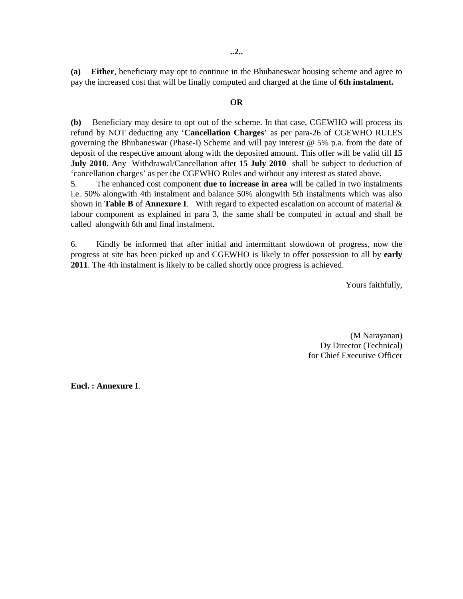**..2..**

**(a) Either**, beneficiary may opt to continue in the Bhubaneswar housing scheme and agree to pay the increased cost that will be finally computed and charged at the time of **6th instalment.**

#### **OR**

**(b)** Beneficiary may desire to opt out of the scheme. In that case, CGEWHO will process its refund by NOT deducting any '**Cancellation Charges**' as per para-26 of CGEWHO RULES governing the Bhubaneswar (Phase-I) Scheme and will pay interest @ 5% p.a. from the date of deposit of the respective amount along with the deposited amount. This offer will be valid till **15 July 2010. A**ny Withdrawal/Cancellation after **15 July 2010** shall be subject to deduction of 'cancellation charges' as per the CGEWHO Rules and without any interest as stated above.

5. The enhanced cost component **due to increase in area** will be called in two instalments i.e. 50% alongwith 4th instalment and balance 50% alongwith 5th instalments which was also shown in **Table B** of **Annexure I**. With regard to expected escalation on account of material & labour component as explained in para 3, the same shall be computed in actual and shall be called alongwith 6th and final instalment.

6. Kindly be informed that after initial and intermittant slowdown of progress, now the progress at site has been picked up and CGEWHO is likely to offer possession to all by **early 2011**. The 4th instalment is likely to be called shortly once progress is achieved.

Yours faithfully,

 (M Narayanan) Dy Director (Technical) for Chief Executive Officer

**Encl. : Annexure I**.